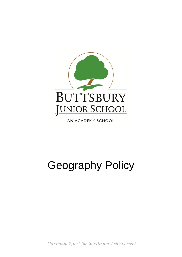

AN ACADEMY SCHOOL

# Geography Policy

*Maximum Effort for Maximum Achievement*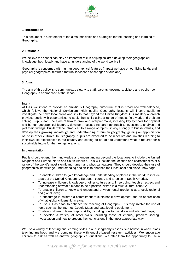

# **1. Introduction**

This document is a statement of the aims, principles and strategies for the teaching and learning of Geography.

# **2. Rationale**

We believe the school can play an important role in helping children develop their geographical knowledge, both locally and have an understanding of the world we live in.

Geography is concerned with human geographical features (impact we have on our living land), and physical geographical features (natural landscape of changes of our land).

# **3. Aims**

The aim of this policy is to communicate clearly to staff, parents, governors, visitors and pupils how Geography is approached at the school.

## **Intent**

At BJS, we intend to provide an ambitious Geography curriculum that is broad and well-balanced, which follows the National Curriculum. High quality Geography lessons will inspire pupils to investigate their own local areas and link to that beyond the United Kingdom. Our mastery approach provides pupils with opportunities to apply their skills using a range of media, field work and problem solving. Pupils learn the skills of how to draw and interpret maps, including key symbols for physical and human geographical features, develop a focused research approach to investigate, analyse and plot their findings. Pupils will be introduced to a range of topics, linking strongly to British Values, and develop their growing knowledge and understanding of human geography, gaining an appreciation of life in other cultures. In Geography, pupils are expected to be reflective and link their learning to their own life experiences in our country and setting, to be able to understand what is required for a sustainable future for the next generations.

#### **Implementation**

Pupils should extend their knowledge and understanding beyond the local area to include the United Kingdom and Europe, North and South America. This will include the location and characteristics of a range of the world's most significant human and physical features. They should develop their use of geographical knowledge, understanding and skills to enhance their locational and place knowledge.

- To enable children to gain knowledge and understanding of places in the world; to include a part of the United Kingdom, a European country and a region in South America.
- To increase children's knowledge of other cultures and, in so doing, teach a respect and understanding of what it means to be a positive citizen in a multi-cultural country;
- To enable children to know and understand environmental problems at a local, regional and global level;
- To encourage in children a commitment to sustainable development and an appreciation of what 'global citizenship' means;
- To use ICT as a tool to enhance the teaching of Geography. This may involve the use of items such as the Internet, Google Maps and data logging equipment.
- To allow children to learn graphic skills, including how to use, draw and interpret maps;
- To develop a variety of other skills, including those of enquiry, problem solving, investigation and how to present their conclusions in the most appropriate way.

We use a variety of teaching and learning styles in our Geography lessons. We believe in whole-class teaching methods and we combine these with enquiry-based research activities. We encourage children to ask as well as answer geographical questions. We offer them the opportunity to use a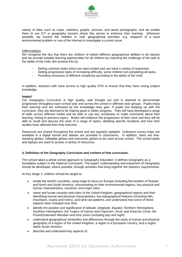

variety of data, such as maps, statistics, graphs, pictures, and aerial photographs, and we enable them to use ICT in geography lessons where this serves to enhance their learning. Wherever possible, we involve the children in 'real' geographical activities, e.g. research of a local environmental problem or use of the Internet to investigate a current issue.

#### **Differentiation**

We recognise the fact that there are children of widely different geographical abilities in all classes and we provide suitable learning opportunities for all children by matching the challenge of the task to the ability of the child. We achieve this by:

- Setting common tasks which are open-ended and can have a variety of responses;
- Setting progressive tasks of increasing difficulty, some children not completing all tasks;
- Providing resources of different complexity according to the ability of the child;

In addition, teachers with have access to high quality CPD to ensure that they have strong subject knowledge.

#### **Impact**

Our Geography Curriculum is high quality, well thought out and is planned to demonstrate progression throughout each school year and across the school in different year groups. Pupils enjoy their learning and are enthused by the knowledge they gain. If pupils are keeping up with the curriculum, they are deemed to be making good or better progress. They will have developed a range of skills across different media and be able to use key vocabulary to make comments about their learning, linking to previous topics. Books will evidence the progression of their work and they will be able to recall and discuss the work of a range of topics, detailing specific locations and how their studies have affected their final outcome.

Resources are shared throughout the school and are regularly updated. Ordnance survey maps are available in a digital format and atlases are provided in classrooms. In addition, there are freestanding globes, inflatable globes and interactive globes to be used across school. The school ipads and laptops are used to access a variety of resources.

## **4. Definition of the Geography Curriculum and content of that curriculum.**

The school takes a whole school approach to Geography Education. It defines Geography as a foundation subject in the National Curriculum. The pupils' understanding and enjoyment of Geography should be developed, where possible, through activities that bring together the statutory requirements.

At Key Stage 2, children should be taught to:

- locate the world's countries, using maps to focus on Europe (including the location of Russia) and North and South America, concentrating on their environmental regions, key physical and human characteristics, countries, and major cities
- name and locate counties and cities of the United Kingdom, geographical regions and their identifying human and physical characteristics, key topographical features (including hills, mountains, coasts and rivers), and land-use patterns; and understand how some of these aspects have changed over time
- identify the position and significance of latitude, longitude, Equator, Northern Hemisphere, Southern Hemisphere, the Tropics of Cancer and Capricorn, Arctic and Antarctic Circle, the Prime/Greenwich Meridian and time zones (including day and night)
- understand geographical similarities and differences through the study of human and physical geography of a region of the United Kingdom, a region in a European country, and a region within South America
- describe and understand key aspects of: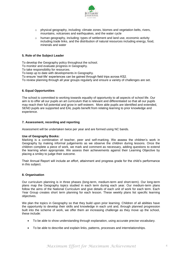

- $\circ$  physical geography, including: climate zones, biomes and vegetation belts, rivers, mountains, volcanoes and earthquakes, and the water cycle
- $\circ$  human geography, including: types of settlement and land use, economic activity including trade links, and the distribution of natural resources including energy, food, minerals and water

# **5. Role of the Subject Leader**

To develop the Geography policy throughout the school.

To monitor and evaluate progress in Geography.

To take responsibility for resources.

To keep up to date with developments in Geography.

To ensure 'real-life' experiences can be gained through field trips across KS2.

To review planning through all year groups regularly and ensure a variety of challenges are set.

#### **6. Equal Opportunities**

The school is committed to working towards equality of opportunity to all aspects of school life. Our aim is to offer all our pupils an art curriculum that is relevant and differentiated so that all our pupils may reach their full potential and grow in self-esteem. More able pupils are identified and extended, SEND pupils are supported and EAL pupils benefit from relating learning to prior knowledge and experience.

#### **7. Assessment, recording and reporting**

Assessment will be undertaken twice per year and are formed using NC bands.

#### **Use of Geography Books:**

Marking is a combination of teacher, peer and self-marking. We assess the children's work in Geography by making informal judgements as we observe the children during lessons. Once the children complete a piece of work, we mark and comment as necessary, adding questions to extend the learning when appropriate. We assess their achievements against their Learning Objective by placing a smiley to judge their outcome.

Their Annual Report will include an effort, attainment and progress grade for the child's performance in this subject.

#### **8. Organisation**

Our curriculum planning is in three phases (long-term, medium-term and short-term). Our long-term plans map the Geography topics studied in each term during each year. Our medium-term plans follow the aims of the National Curriculum and give details of each unit of work for each term. Each Year Group creates short term planning for each lesson. These weekly plans list specific learning objectives.

We plan the topics in Geography so that they build upon prior learning. Children of all abilities have the opportunity to develop their skills and knowledge in each unit and, through planned progression built into the scheme of work, we offer them an increasing challenge as they move up the school, these include:

- To be able to show understanding through explanation, using accurate precise vocabulary.
- To be able to describe and explain links, patterns, processes and interrelationships.